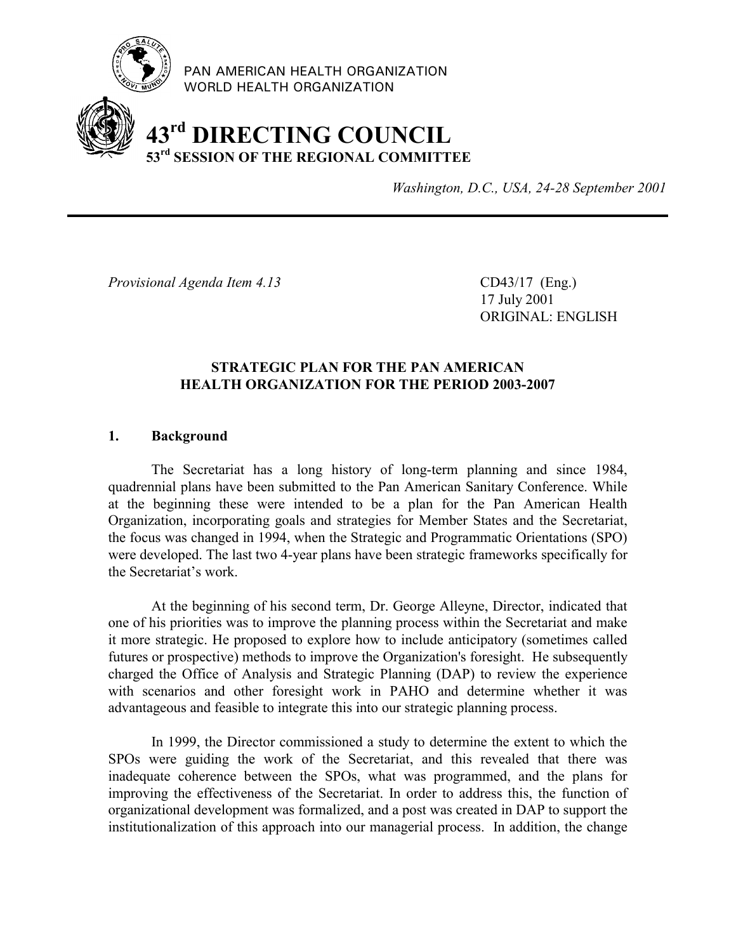

PAN AMERICAN HEALTH ORGANIZATION WORLD HEALTH ORGANIZATION

# **43rd DIRECTING COUNCIL 53rd SESSION OF THE REGIONAL COMMITTEE**

*Washington, D.C., USA, 24-28 September 2001*

*Provisional Agenda Item 4.13* CD43/17 (Eng.)

17 July 2001 ORIGINAL: ENGLISH

### **STRATEGIC PLAN FOR THE PAN AMERICAN HEALTH ORGANIZATION FOR THE PERIOD 2003-2007**

## **1. Background**

The Secretariat has a long history of long-term planning and since 1984, quadrennial plans have been submitted to the Pan American Sanitary Conference. While at the beginning these were intended to be a plan for the Pan American Health Organization, incorporating goals and strategies for Member States and the Secretariat, the focus was changed in 1994, when the Strategic and Programmatic Orientations (SPO) were developed. The last two 4-year plans have been strategic frameworks specifically for the Secretariat's work.

At the beginning of his second term, Dr. George Alleyne, Director, indicated that one of his priorities was to improve the planning process within the Secretariat and make it more strategic. He proposed to explore how to include anticipatory (sometimes called futures or prospective) methods to improve the Organization's foresight. He subsequently charged the Office of Analysis and Strategic Planning (DAP) to review the experience with scenarios and other foresight work in PAHO and determine whether it was advantageous and feasible to integrate this into our strategic planning process.

In 1999, the Director commissioned a study to determine the extent to which the SPOs were guiding the work of the Secretariat, and this revealed that there was inadequate coherence between the SPOs, what was programmed, and the plans for improving the effectiveness of the Secretariat. In order to address this, the function of organizational development was formalized, and a post was created in DAP to support the institutionalization of this approach into our managerial process. In addition, the change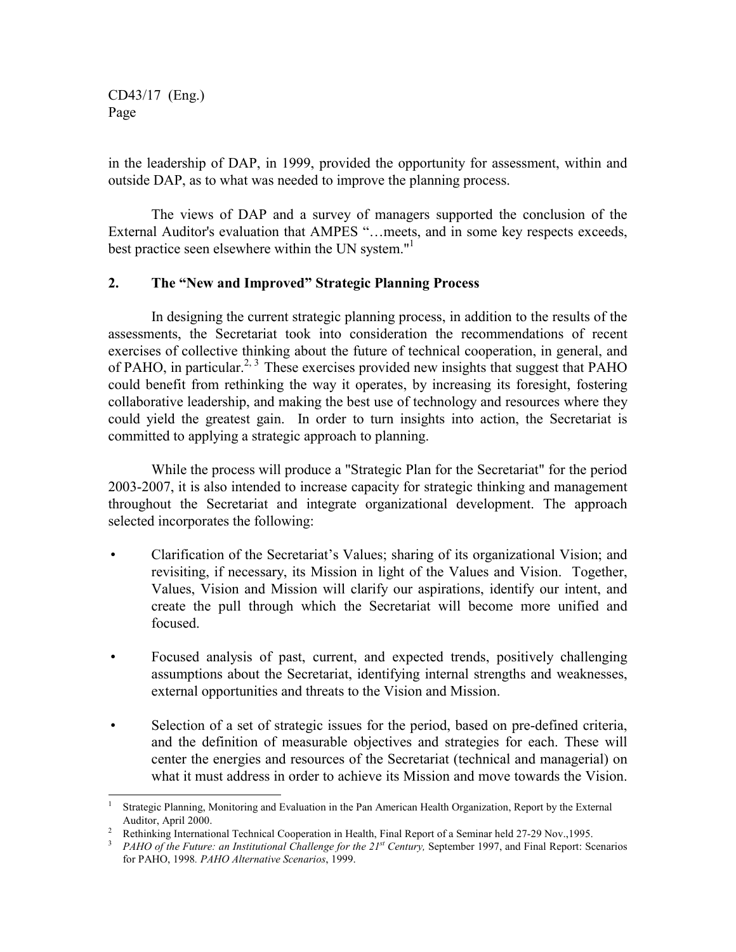CD43/17 (Eng.) Page

 $\overline{a}$ 

in the leadership of DAP, in 1999, provided the opportunity for assessment, within and outside DAP, as to what was needed to improve the planning process.

The views of DAP and a survey of managers supported the conclusion of the External Auditor's evaluation that AMPES "…meets, and in some key respects exceeds, best practice seen elsewhere within the UN system."

#### **2. The "New and Improved" Strategic Planning Process**

In designing the current strategic planning process, in addition to the results of the assessments, the Secretariat took into consideration the recommendations of recent exercises of collective thinking about the future of technical cooperation, in general, and of PAHO, in particular.<sup>2, 3</sup> These exercises provided new insights that suggest that PAHO could benefit from rethinking the way it operates, by increasing its foresight, fostering collaborative leadership, and making the best use of technology and resources where they could yield the greatest gain. In order to turn insights into action, the Secretariat is committed to applying a strategic approach to planning.

While the process will produce a "Strategic Plan for the Secretariat" for the period 2003-2007, it is also intended to increase capacity for strategic thinking and management throughout the Secretariat and integrate organizational development. The approach selected incorporates the following:

- Clarification of the Secretariat's Values; sharing of its organizational Vision; and revisiting, if necessary, its Mission in light of the Values and Vision. Together, Values, Vision and Mission will clarify our aspirations, identify our intent, and create the pull through which the Secretariat will become more unified and focused.
- Focused analysis of past, current, and expected trends, positively challenging assumptions about the Secretariat, identifying internal strengths and weaknesses, external opportunities and threats to the Vision and Mission.
- Selection of a set of strategic issues for the period, based on pre-defined criteria, and the definition of measurable objectives and strategies for each. These will center the energies and resources of the Secretariat (technical and managerial) on what it must address in order to achieve its Mission and move towards the Vision.

<sup>1</sup> Strategic Planning, Monitoring and Evaluation in the Pan American Health Organization, Report by the External Auditor, April 2000.

<sup>&</sup>lt;sup>2</sup> Rethinking International Technical Cooperation in Health, Final Report of a Seminar held 27-29 Nov., 1995.<br><sup>3</sup> *PAHO of the Future: an Institutional Challenge for the 21<sup>st</sup> Century, September 1997, and Final Report:* 

for PAHO, 1998*. PAHO Alternative Scenarios*, 1999.